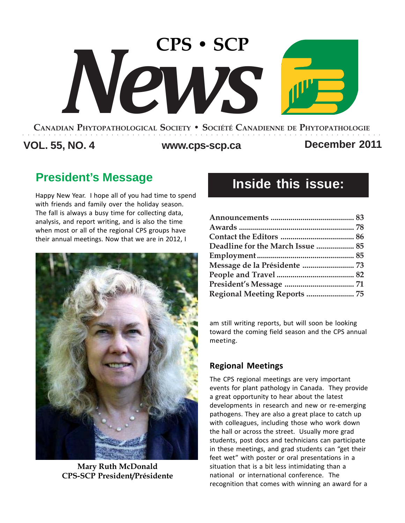# **CANADIAN PHYTOPATHOLOGICAL SOCIETY • SOCIÉTÉ CANADIENNE DE PHYTOPATHOLOGIE CPS • SCP** *News*

○○○○○○○○○○○○○○○○○○○○○○○○○○○○○○○○○○○○○○○○○○○○○○○○○○○○○○○○○○○○○○○○○○○○○

### **VOL. 55, NO. 4 www.cps-scp.ca December 2011**

### **President's Message**

Happy New Year. I hope all of you had time to spend with friends and family over the holiday season. The fall is always a busy time for collecting data, analysis, and report writing, and is also the time when most or all of the regional CPS groups have their annual meetings. Now that we are in 2012, I



**Mary Ruth McDonald CPS-SCP President/Présidente**

# **Inside this issue:**

| Deadline for the March Issue  85    |  |
|-------------------------------------|--|
|                                     |  |
| Message de la Présidente  73        |  |
|                                     |  |
|                                     |  |
| <b>Regional Meeting Reports  75</b> |  |

am still writing reports, but will soon be looking toward the coming field season and the CPS annual meeting.

### **Regional Meetings**

The CPS regional meetings are very important events for plant pathology in Canada. They provide a great opportunity to hear about the latest developments in research and new or re-emerging pathogens. They are also a great place to catch up with colleagues, including those who work down the hall or across the street. Usually more grad students, post docs and technicians can participate in these meetings, and grad students can "get their feet wet" with poster or oral presentations in a situation that is a bit less intimidating than a national or international conference. The recognition that comes with winning an award for a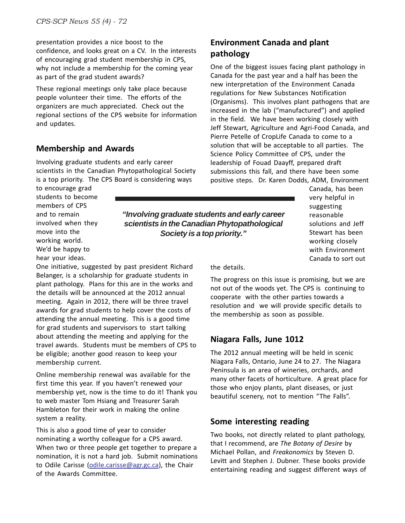presentation provides a nice boost to the confidence, and looks great on a CV. In the interests of encouraging grad student membership in CPS, why not include a membership for the coming year as part of the grad student awards?

These regional meetings only take place because people volunteer their time. The efforts of the organizers are much appreciated. Check out the regional sections of the CPS website for information and updates.

### **Membership and Awards**

Involving graduate students and early career scientists in the Canadian Phytopathological Society is a top priority. The CPS Board is considering ways

#### to encourage grad students to become members of CPS and to remain involved when they move into the working world. We'd be happy to hear your ideas.

One initiative, suggested by past president Richard Belanger, is a scholarship for graduate students in plant pathology. Plans for this are in the works and the details will be announced at the 2012 annual meeting. Again in 2012, there will be three travel awards for grad students to help cover the costs of attending the annual meeting. This is a good time for grad students and supervisors to start talking about attending the meeting and applying for the travel awards. Students must be members of CPS to be eligible; another good reason to keep your membership current.

Online membership renewal was available for the first time this year. If you haven't renewed your membership yet, now is the time to do it! Thank you to web master Tom Hsiang and Treasurer Sarah Hambleton for their work in making the online system a reality.

This is also a good time of year to consider nominating a worthy colleague for a CPS award. When two or three people get together to prepare a nomination, it is not a hard job. Submit nominations to Odile Carisse (odile.carisse@agr.gc.ca), the Chair of the Awards Committee.

### **Environment Canada and plant pathology**

One of the biggest issues facing plant pathology in Canada for the past year and a half has been the new interpretation of the Environment Canada regulations for New Substances Notification (Organisms). This involves plant pathogens that are increased in the lab ("manufactured") and applied in the field. We have been working closely with Jeff Stewart, Agriculture and Agri-Food Canada, and Pierre Petelle of CropLife Canada to come to a solution that will be acceptable to all parties. The Science Policy Committee of CPS, under the leadership of Fouad Daayff, prepared draft submissions this fall, and there have been some positive steps. Dr. Karen Dodds, ADM, Environment

*"Involving graduate students and early career scientists in the Canadian Phytopathological Society is a top priority."*

Canada, has been very helpful in suggesting reasonable solutions and Jeff Stewart has been working closely with Environment Canada to sort out

the details.

The progress on this issue is promising, but we are not out of the woods yet. The CPS is continuing to cooperate with the other parties towards a resolution and we will provide specific details to the membership as soon as possible.

### **Niagara Falls, June 1012**

The 2012 annual meeting will be held in scenic Niagara Falls, Ontario, June 24 to 27. The Niagara Peninsula is an area of wineries, orchards, and many other facets of horticulture. A great place for those who enjoy plants, plant diseases, or just beautiful scenery, not to mention "The Falls".

### **Some interesting reading**

Two books, not directly related to plant pathology, that I recommend, are *The Botany of Desire* by Michael Pollan, and *Freakonomics* by Steven D. Levitt and Stephen J. Dubner. These books provide entertaining reading and suggest different ways of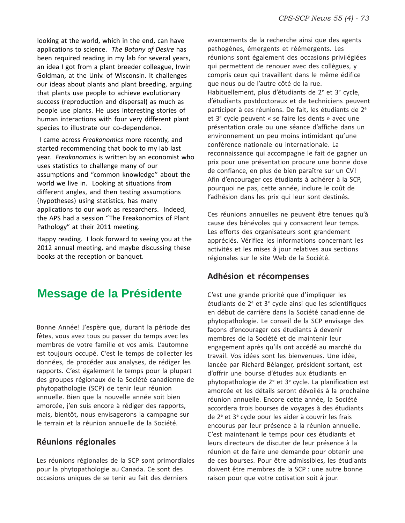looking at the world, which in the end, can have applications to science. *The Botany of Desire* has been required reading in my lab for several years, an idea I got from a plant breeder colleague, Irwin Goldman, at the Univ. of Wisconsin. It challenges our ideas about plants and plant breeding, arguing that plants use people to achieve evolutionary success (reproduction and dispersal) as much as people use plants. He uses interesting stories of human interactions with four very different plant species to illustrate our co-dependence.

 I came across *Freakonomics* more recently, and started recommending that book to my lab last year. *Freakonomics* is written by an economist who uses statistics to challenge many of our assumptions and "common knowledge" about the world we live in. Looking at situations from different angles, and then testing assumptions (hypotheses) using statistics, has many applications to our work as researchers. Indeed, the APS had a session "The Freakonomics of Plant Pathology" at their 2011 meeting.

Happy reading. I look forward to seeing you at the 2012 annual meeting, and maybe discussing these books at the reception or banquet.

### **Message de la Présidente**

Bonne Année! J'espère que, durant la période des fêtes, vous avez tous pu passer du temps avec les membres de votre famille et vos amis. L'automne est toujours occupé. C'est le temps de collecter les données, de procéder aux analyses, de rédiger les rapports. C'est également le temps pour la plupart des groupes régionaux de la Société canadienne de phytopathologie (SCP) de tenir leur réunion annuelle. Bien que la nouvelle année soit bien amorcée, j'en suis encore à rédiger des rapports, mais, bientôt, nous envisagerons la campagne sur le terrain et la réunion annuelle de la Société.

### **Réunions régionales**

Les réunions régionales de la SCP sont primordiales pour la phytopathologie au Canada. Ce sont des occasions uniques de se tenir au fait des derniers

avancements de la recherche ainsi que des agents pathogènes, émergents et réémergents. Les réunions sont également des occasions privilégiées qui permettent de renouer avec des collègues, y compris ceux qui travaillent dans le même édifice que nous ou de l'autre côté de la rue. Habituellement, plus d'étudiants de 2<sup>e</sup> et 3<sup>e</sup> cycle, d'étudiants postdoctoraux et de techniciens peuvent participer à ces réunions. De fait, les étudiants de 2<sup>e</sup> et 3<sup>e</sup> cycle peuvent « se faire les dents » avec une présentation orale ou une séance d'affiche dans un environnement un peu moins intimidant qu'une conférence nationale ou internationale. La reconnaissance qui accompagne le fait de gagner un prix pour une présentation procure une bonne dose de confiance, en plus de bien paraître sur un CV! Afin d'encourager ces étudiants à adhérer à la SCP, pourquoi ne pas, cette année, inclure le coût de l'adhésion dans les prix qui leur sont destinés.

Ces réunions annuelles ne peuvent être tenues qu'à cause des bénévoles qui y consacrent leur temps. Les efforts des organisateurs sont grandement appréciés. Vérifiez les informations concernant les activités et les mises à jour relatives aux sections régionales sur le site Web de la Société.

### **Adhésion et récompenses**

C'est une grande priorité que d'impliquer les étudiants de 2<sup>e</sup> et 3<sup>e</sup> cycle ainsi que les scientifiques en début de carrière dans la Société canadienne de phytopathologie. Le conseil de la SCP envisage des façons d'encourager ces étudiants à devenir membres de la Société et de maintenir leur engagement après qu'ils ont accédé au marché du travail. Vos idées sont les bienvenues. Une idée, lancée par Richard Bélanger, président sortant, est d'offrir une bourse d'études aux étudiants en phytopathologie de 2<sup>e</sup> et 3<sup>e</sup> cycle. La planification est amorcée et les détails seront dévoilés à la prochaine réunion annuelle. Encore cette année, la Société accordera trois bourses de voyages à des étudiants de 2<sup>e</sup> et 3<sup>e</sup> cycle pour les aider à couvrir les frais encourus par leur présence à la réunion annuelle. C'est maintenant le temps pour ces étudiants et leurs directeurs de discuter de leur présence à la réunion et de faire une demande pour obtenir une de ces bourses. Pour être admissibles, les étudiants doivent être membres de la SCP : une autre bonne raison pour que votre cotisation soit à jour.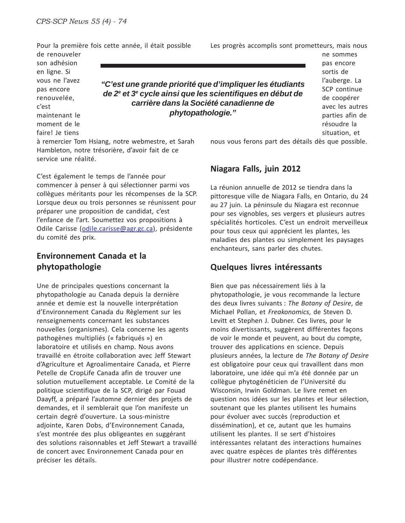Pour la première fois cette année, il était possible

de renouveler son adhésion en ligne. Si vous ne l'avez pas encore renouvelée, c'est maintenant le moment de le faire! Je tiens

*"C'est une grande priorité que d'impliquer les étudiants de 2e et 3e cycle ainsi que les scientifiques en début de carrière dans la Société canadienne de phytopathologie."*

à remercier Tom Hsiang, notre webmestre, et Sarah Hambleton, notre trésorière, d'avoir fait de ce service une réalité.

C'est également le temps de l'année pour commencer à penser à qui sélectionner parmi vos collègues méritants pour les récompenses de la SCP. Lorsque deux ou trois personnes se réunissent pour préparer une proposition de candidat, c'est l'enfance de l'art. Soumettez vos propositions à Odile Carisse (odile.carisse@agr.gc.ca), présidente du comité des prix.

### **Environnement Canada et la phytopathologie**

Une de principales questions concernant la phytopathologie au Canada depuis la dernière année et demie est la nouvelle interprétation d'Environnement Canada du Règlement sur les renseignements concernant les substances nouvelles (organismes). Cela concerne les agents pathogènes multipliés (« fabriqués ») en laboratoire et utilisés en champ. Nous avons travaillé en étroite collaboration avec Jeff Stewart d'Agriculture et Agroalimentaire Canada, et Pierre Petelle de CropLife Canada afin de trouver une solution mutuellement acceptable. Le Comité de la politique scientifique de la SCP, dirigé par Fouad Daayff, a préparé l'automne dernier des projets de demandes, et il semblerait que l'on manifeste un certain degré d'ouverture. La sous-ministre adjointe, Karen Dobs, d'Environnement Canada, s'est montrée des plus obligeantes en suggérant des solutions raisonnables et Jeff Stewart a travaillé de concert avec Environnement Canada pour en préciser les détails.

Les progrès accomplis sont prometteurs, mais nous

ne sommes pas encore sortis de l'auberge. La SCP continue de coopérer avec les autres parties afin de résoudre la situation, et

nous vous ferons part des détails dès que possible.

### **Niagara Falls, juin 2012**

La réunion annuelle de 2012 se tiendra dans la pittoresque ville de Niagara Falls, en Ontario, du 24 au 27 juin. La péninsule du Niagara est reconnue pour ses vignobles, ses vergers et plusieurs autres spécialités horticoles. C'est un endroit merveilleux pour tous ceux qui apprécient les plantes, les maladies des plantes ou simplement les paysages enchanteurs, sans parler des chutes.

### **Quelques livres intéressants**

Bien que pas nécessairement liés à la phytopathologie, je vous recommande la lecture des deux livres suivants : *The Botany of Desire*, de Michael Pollan, et *Freakonomics*, de Steven D. Levitt et Stephen J. Dubner. Ces livres, pour le moins divertissants, suggèrent différentes façons de voir le monde et peuvent, au bout du compte, trouver des applications en science. Depuis plusieurs années, la lecture de *The Botany of Desire* est obligatoire pour ceux qui travaillent dans mon laboratoire, une idée qui m'a été donnée par un collègue phytogénéticien de l'Université du Wisconsin, Irwin Goldman. Le livre remet en question nos idées sur les plantes et leur sélection, soutenant que les plantes utilisent les humains pour évoluer avec succès (reproduction et dissémination), et ce, autant que les humains utilisent les plantes. Il se sert d'histoires intéressantes relatant des interactions humaines avec quatre espèces de plantes très différentes pour illustrer notre codépendance.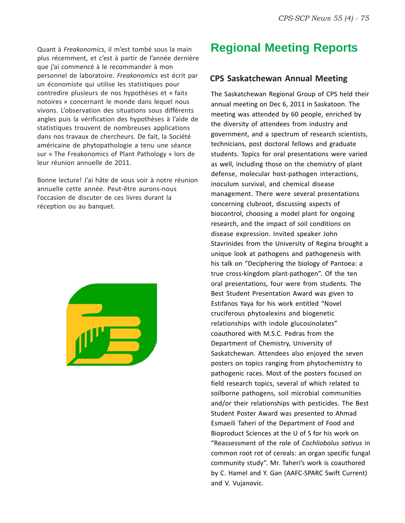Quant à *Freakonomics*, il m'est tombé sous la main plus récemment, et c'est à partir de l'année dernière que j'ai commencé à le recommander à mon personnel de laboratoire. *Freakonomics* est écrit par un économiste qui utilise les statistiques pour contredire plusieurs de nos hypothèses et « faits notoires » concernant le monde dans lequel nous vivons. L'observation des situations sous différents angles puis la vérification des hypothèses à l'aide de statistiques trouvent de nombreuses applications dans nos travaux de chercheurs. De fait, la Société américaine de phytopathologie a tenu une séance sur « The Freakonomics of Plant Pathology » lors de leur réunion annuelle de 2011.

Bonne lecture! J'ai hâte de vous voir à notre réunion annuelle cette année. Peut-être aurons-nous l'occasion de discuter de ces livres durant la réception ou au banquet.



## **Regional Meeting Reports**

### **CPS Saskatchewan Annual Meeting**

The Saskatchewan Regional Group of CPS held their annual meeting on Dec 6, 2011 in Saskatoon. The meeting was attended by 60 people, enriched by the diversity of attendees from industry and government, and a spectrum of research scientists, technicians, post doctoral fellows and graduate students. Topics for oral presentations were varied as well, including those on the chemistry of plant defense, molecular host-pathogen interactions, inoculum survival, and chemical disease management. There were several presentations concerning clubroot, discussing aspects of biocontrol, choosing a model plant for ongoing research, and the impact of soil conditions on disease expression. Invited speaker John Stavrinides from the University of Regina brought a unique look at pathogens and pathogenesis with his talk on "Deciphering the biology of Pantoea: a true cross-kingdom plant-pathogen". Of the ten oral presentations, four were from students. The Best Student Presentation Award was given to Estifanos Yaya for his work entitled "Novel cruciferous phytoalexins and biogenetic relationships with indole glucosinolates" coauthored with M.S.C. Pedras from the Department of Chemistry, University of Saskatchewan. Attendees also enjoyed the seven posters on topics ranging from phytochemistry to pathogenic races. Most of the posters focused on field research topics, several of which related to soilborne pathogens, soil microbial communities and/or their relationships with pesticides. The Best Student Poster Award was presented to Ahmad Esmaeili Taheri of the Department of Food and Bioproduct Sciences at the U of S for his work on "Reassessment of the role of *Cochliobolus sativus* in common root rot of cereals: an organ specific fungal community study". Mr. Taheri's work is coauthored by C. Hamel and Y. Gan (AAFC-SPARC Swift Current) and V. Vujanovic.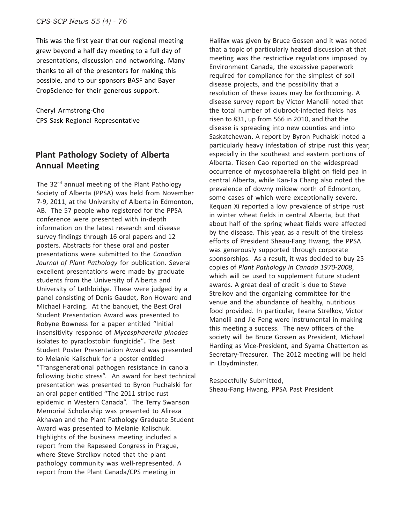This was the first year that our regional meeting grew beyond a half day meeting to a full day of presentations, discussion and networking. Many thanks to all of the presenters for making this possible, and to our sponsors BASF and Bayer CropScience for their generous support.

Cheryl Armstrong-Cho CPS Sask Regional Representative

### **Plant Pathology Society of Alberta Annual Meeting**

The  $32<sup>nd</sup>$  annual meeting of the Plant Pathology Society of Alberta (PPSA) was held from November 7-9, 2011, at the University of Alberta in Edmonton, AB. The 57 people who registered for the PPSA conference were presented with in-depth information on the latest research and disease survey findings through 16 oral papers and 12 posters. Abstracts for these oral and poster presentations were submitted to the *Canadian Journal of Plant Pathology* for publication. Several excellent presentations were made by graduate students from the University of Alberta and University of Lethbridge. These were judged by a panel consisting of Denis Gaudet, Ron Howard and Michael Harding. At the banquet, the Best Oral Student Presentation Award was presented to Robyne Bowness for a paper entitled "Initial insensitivity response of *Mycosphaerella pinodes* isolates to pyraclostobin fungicide"**.** The Best Student Poster Presentation Award was presented to Melanie Kalischuk for a poster entitled "Transgenerational pathogen resistance in canola following biotic stress". An award for best technical presentation was presented to Byron Puchalski for an oral paper entitled "The 2011 stripe rust epidemic in Western Canada". The Terry Swanson Memorial Scholarship was presented to Alireza Akhavan and the Plant Pathology Graduate Student Award was presented to Melanie Kalischuk. Highlights of the business meeting included a report from the Rapeseed Congress in Prague, where Steve Strelkov noted that the plant pathology community was well-represented. A report from the Plant Canada/CPS meeting in

Halifax was given by Bruce Gossen and it was noted that a topic of particularly heated discussion at that meeting was the restrictive regulations imposed by Environment Canada, the excessive paperwork required for compliance for the simplest of soil disease projects, and the possibility that a resolution of these issues may be forthcoming. A disease survey report by Victor Manolii noted that the total number of clubroot-infected fields has risen to 831, up from 566 in 2010, and that the disease is spreading into new counties and into Saskatchewan. A report by Byron Puchalski noted a particularly heavy infestation of stripe rust this year, especially in the southeast and eastern portions of Alberta. Tiesen Cao reported on the widespread occurrence of mycosphaerella blight on field pea in central Alberta, while Kan-Fa Chang also noted the prevalence of downy mildew north of Edmonton, some cases of which were exceptionally severe. Kequan Xi reported a low prevalence of stripe rust in winter wheat fields in central Alberta, but that about half of the spring wheat fields were affected by the disease. This year, as a result of the tireless efforts of President Sheau-Fang Hwang, the PPSA was generously supported through corporate sponsorships. As a result, it was decided to buy 25 copies of *Plant Pathology in Canada 1970-2008*, which will be used to supplement future student awards. A great deal of credit is due to Steve Strelkov and the organizing committee for the venue and the abundance of healthy, nutritious food provided. In particular, Ileana Strelkov, Victor Manolii and Jie Feng were instrumental in making this meeting a success. The new officers of the society will be Bruce Gossen as President, Michael Harding as Vice-President, and Syama Chatterton as Secretary-Treasurer. The 2012 meeting will be held in Lloydminster.

Respectfully Submitted, Sheau-Fang Hwang, PPSA Past President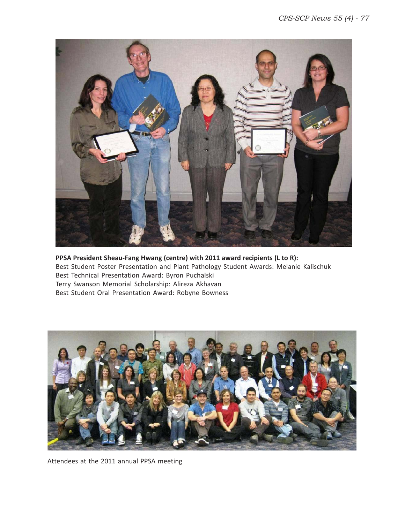

**PPSA President Sheau-Fang Hwang (centre) with 2011 award recipients (L to R):** Best Student Poster Presentation and Plant Pathology Student Awards: Melanie Kalischuk Best Technical Presentation Award: Byron Puchalski Terry Swanson Memorial Scholarship: Alireza Akhavan Best Student Oral Presentation Award: Robyne Bowness



Attendees at the 2011 annual PPSA meeting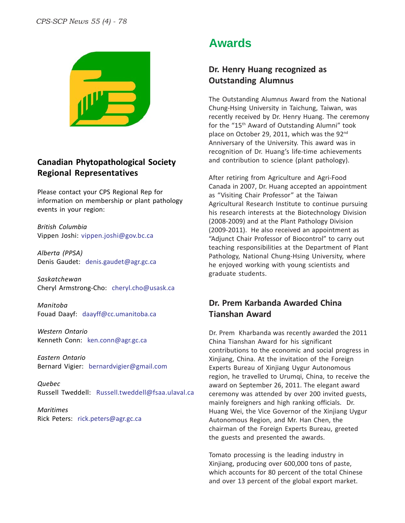

### **Canadian Phytopathological Society Regional Representatives**

Please contact your CPS Regional Rep for information on membership or plant pathology events in your region:

*British Columbia* Vippen Joshi: vippen.joshi@gov.bc.ca

*Alberta (PPSA)* Denis Gaudet: denis.gaudet@agr.gc.ca

*Saskatchewan* Cheryl Armstrong-Cho: cheryl.cho@usask.ca

*Manitoba* Fouad Daayf: daayff@cc.umanitoba.ca

*Western Ontario* Kenneth Conn: ken.conn@agr.gc.ca

*Eastern Ontario* Bernard Vigier: bernardvigier@gmail.com

*Quebec* Russell Tweddell: Russell.tweddell@fsaa.ulaval.ca

*Maritimes* Rick Peters: rick.peters@agr.gc.ca

### **Awards**

### **Dr. Henry Huang recognized as Outstanding Alumnus**

The Outstanding Alumnus Award from the National Chung-Hsing University in Taichung, Taiwan, was recently received by Dr. Henry Huang. The ceremony for the "15th Award of Outstanding Alumni" took place on October 29, 2011, which was the 92<sup>nd</sup> Anniversary of the University. This award was in recognition of Dr. Huang's life-time achievements and contribution to science (plant pathology).

After retiring from Agriculture and Agri-Food Canada in 2007, Dr. Huang accepted an appointment as "Visiting Chair Professor" at the Taiwan Agricultural Research Institute to continue pursuing his research interests at the Biotechnology Division (2008-2009) and at the Plant Pathology Division (2009-2011). He also received an appointment as "Adjunct Chair Professor of Biocontrol" to carry out teaching responsibilities at the Department of Plant Pathology, National Chung-Hsing University, where he enjoyed working with young scientists and graduate students.

### **Dr. Prem Karbanda Awarded China Tianshan Award**

Dr. Prem Kharbanda was recently awarded the 2011 China Tianshan Award for his significant contributions to the economic and social progress in Xinjiang, China. At the invitation of the Foreign Experts Bureau of Xinjiang Uygur Autonomous region, he travelled to Urumqi, China, to receive the award on September 26, 2011. The elegant award ceremony was attended by over 200 invited guests, mainly foreigners and high ranking officials. Dr. Huang Wei, the Vice Governor of the Xinjiang Uygur Autonomous Region, and Mr. Han Chen, the chairman of the Foreign Experts Bureau, greeted the guests and presented the awards.

Tomato processing is the leading industry in Xinjiang, producing over 600,000 tons of paste, which accounts for 80 percent of the total Chinese and over 13 percent of the global export market.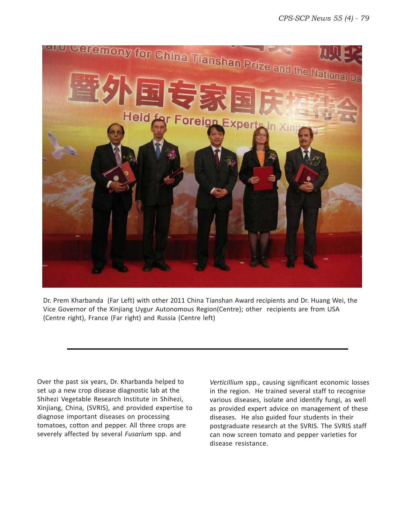

Dr. Prem Kharbanda (Far Left) with other 2011 China Tianshan Award recipients and Dr. Huang Wei, the Vice Governor of the Xinjiang Uygur Autonomous Region(Centre); other recipients are from USA (Centre right), France (Far right) and Russia (Centre left)

Over the past six years, Dr. Kharbanda helped to set up a new crop disease diagnostic lab at the Shihezi Vegetable Research Institute in Shihezi, Xinjiang, China, (SVRIS), and provided expertise to diagnose important diseases on processing tomatoes, cotton and pepper. All three crops are severely affected by several *Fusarium* spp. and

*Verticillium* spp., causing significant economic losses in the region. He trained several staff to recognise various diseases, isolate and identify fungi, as well as provided expert advice on management of these diseases. He also guided four students in their postgraduate research at the SVRIS. The SVRIS staff can now screen tomato and pepper varieties for disease resistance.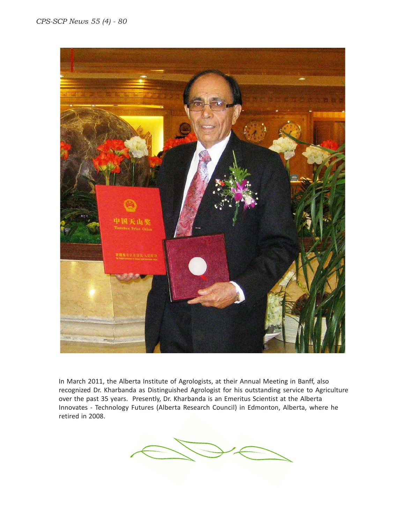

In March 2011, the Alberta Institute of Agrologists, at their Annual Meeting in Banff, also recognized Dr. Kharbanda as Distinguished Agrologist for his outstanding service to Agriculture over the past 35 years. Presently, Dr. Kharbanda is an Emeritus Scientist at the Alberta Innovates - Technology Futures (Alberta Research Council) in Edmonton, Alberta, where he retired in 2008.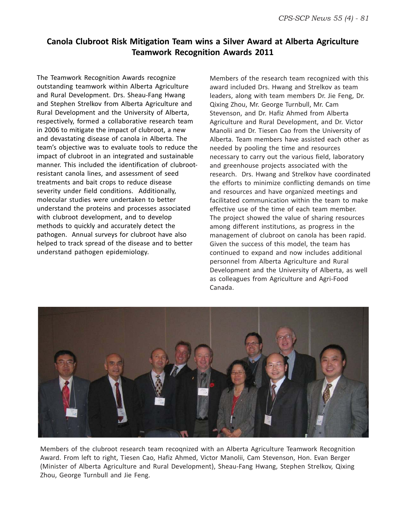### **Canola Clubroot Risk Mitigation Team wins a Silver Award at Alberta Agriculture Teamwork Recognition Awards 2011**

The Teamwork Recognition Awards recognize outstanding teamwork within Alberta Agriculture and Rural Development. Drs. Sheau-Fang Hwang and Stephen Strelkov from Alberta Agriculture and Rural Development and the University of Alberta, respectively, formed a collaborative research team in 2006 to mitigate the impact of clubroot, a new and devastating disease of canola in Alberta. The team's objective was to evaluate tools to reduce the impact of clubroot in an integrated and sustainable manner. This included the identification of clubrootresistant canola lines, and assessment of seed treatments and bait crops to reduce disease severity under field conditions. Additionally, molecular studies were undertaken to better understand the proteins and processes associated with clubroot development, and to develop methods to quickly and accurately detect the pathogen. Annual surveys for clubroot have also helped to track spread of the disease and to better understand pathogen epidemiology.

Members of the research team recognized with this award included Drs. Hwang and Strelkov as team leaders, along with team members Dr. Jie Feng, Dr. Qixing Zhou, Mr. George Turnbull, Mr. Cam Stevenson, and Dr. Hafiz Ahmed from Alberta Agriculture and Rural Development, and Dr. Victor Manolii and Dr. Tiesen Cao from the University of Alberta. Team members have assisted each other as needed by pooling the time and resources necessary to carry out the various field, laboratory and greenhouse projects associated with the research. Drs. Hwang and Strelkov have coordinated the efforts to minimize conflicting demands on time and resources and have organized meetings and facilitated communication within the team to make effective use of the time of each team member. The project showed the value of sharing resources among different institutions, as progress in the management of clubroot on canola has been rapid. Given the success of this model, the team has continued to expand and now includes additional personnel from Alberta Agriculture and Rural Development and the University of Alberta, as well as colleagues from Agriculture and Agri-Food Canada.



Members of the clubroot research team recoqnized with an Alberta Agriculture Teamwork Recognition Award. From left to right, Tiesen Cao, Hafiz Ahmed, Victor Manolii, Cam Stevenson, Hon. Evan Berger (Minister of Alberta Agriculture and Rural Development), Sheau-Fang Hwang, Stephen Strelkov, Qixing Zhou, George Turnbull and Jie Feng.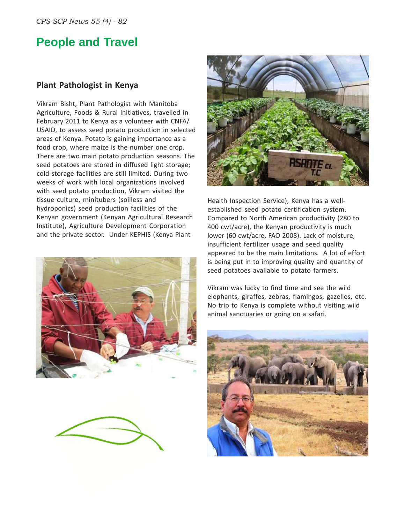## **People and Travel**

### **Plant Pathologist in Kenya**

Vikram Bisht, Plant Pathologist with Manitoba Agriculture, Foods & Rural Initiatives, travelled in February 2011 to Kenya as a volunteer with CNFA/ USAID, to assess seed potato production in selected areas of Kenya. Potato is gaining importance as a food crop, where maize is the number one crop. There are two main potato production seasons. The seed potatoes are stored in diffused light storage; cold storage facilities are still limited. During two weeks of work with local organizations involved with seed potato production, Vikram visited the tissue culture, minitubers (soilless and hydroponics) seed production facilities of the Kenyan government (Kenyan Agricultural Research Institute), Agriculture Development Corporation and the private sector. Under KEPHIS (Kenya Plant







Health Inspection Service), Kenya has a wellestablished seed potato certification system. Compared to North American productivity (280 to 400 cwt/acre), the Kenyan productivity is much lower (60 cwt/acre, FAO 2008). Lack of moisture, insufficient fertilizer usage and seed quality appeared to be the main limitations. A lot of effort is being put in to improving quality and quantity of seed potatoes available to potato farmers.

Vikram was lucky to find time and see the wild elephants, giraffes, zebras, flamingos, gazelles, etc. No trip to Kenya is complete without visiting wild animal sanctuaries or going on a safari.

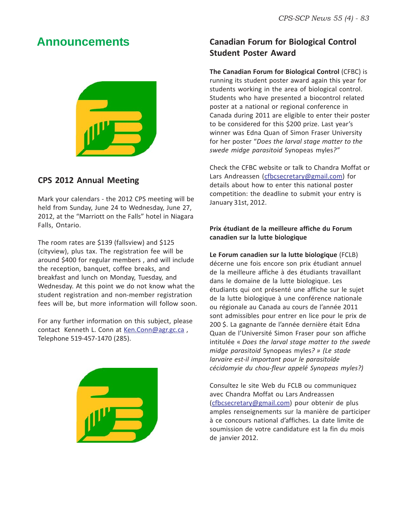### **Announcements**



### **CPS 2012 Annual Meeting**

Mark your calendars - the 2012 CPS meeting will be held from Sunday, June 24 to Wednesday, June 27, 2012, at the "Marriott on the Falls" hotel in Niagara Falls, Ontario.

The room rates are \$139 (fallsview) and \$125 (cityview), plus tax. The registration fee will be around \$400 for regular members , and will include the reception, banquet, coffee breaks, and breakfast and lunch on Monday, Tuesday, and Wednesday. At this point we do not know what the student registration and non-member registration fees will be, but more information will follow soon.

For any further information on this subject, please contact Kenneth L. Conn at Ken.Conn@agr.gc.ca, Telephone 519-457-1470 (285).



### **Canadian Forum for Biological Control Student Poster Award**

**The Canadian Forum for Biological Control** (CFBC) is running its student poster award again this year for students working in the area of biological control. Students who have presented a biocontrol related poster at a national or regional conference in Canada during 2011 are eligible to enter their poster to be considered for this \$200 prize. Last year's winner was Edna Quan of Simon Fraser University for her poster "*Does the larval stage matter to the swede midge parasitoid* Synopeas myles*?"*

Check the CFBC website or talk to Chandra Moffat or Lars Andreassen (cfbcsecretary@gmail.com) for details about how to enter this national poster competition: the deadline to submit your entry is January 31st, 2012.

#### **Prix étudiant de la meilleure affiche du Forum canadien sur la lutte biologique**

**Le Forum canadien sur la lutte biologique** (FCLB) décerne une fois encore son prix étudiant annuel de la meilleure affiche à des étudiants travaillant dans le domaine de la lutte biologique. Les étudiants qui ont présenté une affiche sur le sujet de la lutte biologique à une conférence nationale ou régionale au Canada au cours de l'année 2011 sont admissibles pour entrer en lice pour le prix de 200 \$. La gagnante de l'année dernière était Edna Quan de l'Université Simon Fraser pour son affiche intitulée « *Does the larval stage matter to the swede midge parasitoid* Synopeas myles*? » (Le stade larvaire est-il important pour le parasitoïde cécidomyie du chou-fleur appelé Synopeas myles?)*

Consultez le site Web du FCLB ou communiquez avec Chandra Moffat ou Lars Andreassen (cfbcsecretary@gmail.com) pour obtenir de plus amples renseignements sur la manière de participer à ce concours national d'affiches. La date limite de soumission de votre candidature est la fin du mois de janvier 2012.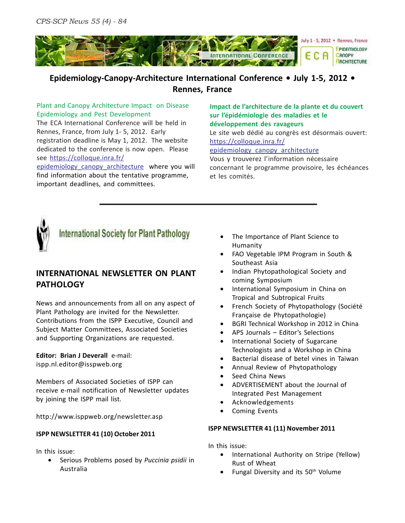

### **Epidemiology-Canopy-Architecture International Conference • July 1-5, 2012 • Rennes, France**

#### Plant and Canopy Architecture Impact on Disease Epidemiology and Pest Development

The ECA International Conference will be held in Rennes, France, from July 1- 5, 2012. Early registration deadline is May 1, 2012. The website dedicated to the conference is now open. Please see https://colloque.inra.fr/

epidemiology\_canopy\_architecture where you will find information about the tentative programme, important deadlines, and committees.

#### **Impact de l'architecture de la plante et du couvert sur l'épidémiologie des maladies et le développement des ravageurs**

Le site web dédié au congrès est désormais ouvert: https://colloque.inra.fr/

epidemiology\_canopy\_architecture

Vous y trouverez l'information nécessaire concernant le programme provisoire, les échéances et les comités.



### **International Society for Plant Pathology**

### **INTERNATIONAL NEWSLETTER ON PLANT PATHOLOGY**

News and announcements from all on any aspect of Plant Pathology are invited for the Newsletter. Contributions from the ISPP Executive, Council and Subject Matter Committees, Associated Societies and Supporting Organizations are requested.

### **Editor: Brian J Deverall** e-mail:

ispp.nl.editor@isspweb.org

Members of Associated Societies of ISPP can receive e-mail notification of Newsletter updates by joining the ISPP mail list.

http://www.isppweb.org/newsletter.asp

### **ISPP NEWSLETTER 41 (10) October 2011**

In this issue:

• Serious Problems posed by *Puccinia psidii* in Australia

- The Importance of Plant Science to Humanity
- FAO Vegetable IPM Program in South & Southeast Asia
- Indian Phytopathological Society and coming Symposium
- International Symposium in China on Tropical and Subtropical Fruits
- French Society of Phytopathology (Société Française de Phytopathologie)
- BGRI Technical Workshop in 2012 in China
- APS Journals Editor's Selections
- International Society of Sugarcane Technologists and a Workshop in China
- Bacterial disease of betel vines in Taiwan
- Annual Review of Phytopathology
- Seed China News
- ADVERTISEMENT about the Journal of Integrated Pest Management
- Acknowledgements
- Coming Events

#### **ISPP NEWSLETTER 41 (11) November 2011**

In this issue:

- International Authority on Stripe (Yellow) Rust of Wheat
- Fungal Diversity and its 50<sup>th</sup> Volume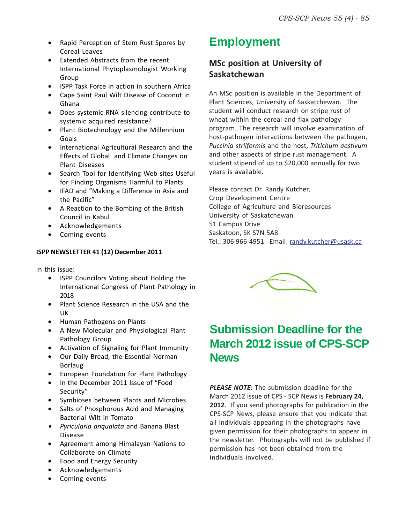- Rapid Perception of Stem Rust Spores by **Employment** Cereal Leaves
- Extended Abstracts from the recent International Phytoplasmologist Working Group
- ISPP Task Force in action in southern Africa
- Cape Saint Paul Wilt Disease of Coconut in Ghana
- Does systemic RNA silencing contribute to systemic acquired resistance?
- Plant Biotechnology and the Millennium Goals
- International Agricultural Research and the Effects of Global and Climate Changes on Plant Diseases
- Search Tool for Identifying Web-sites Useful for Finding Organisms Harmful to Plants
- IFAD and "Making a Difference in Asia and the Pacific"
- A Reaction to the Bombing of the British Council in Kabul
- Acknowledgements
- Coming events

#### **ISPP NEWSLETTER 41 (12) December 2011**

In this issue:

- ISPP Councilors Voting about Holding the International Congress of Plant Pathology in 2018
- Plant Science Research in the USA and the UK
- Human Pathogens on Plants
- A New Molecular and Physiological Plant Pathology Group
- Activation of Signaling for Plant Immunity
- Our Daily Bread, the Essential Norman Borlaug
- European Foundation for Plant Pathology
- In the December 2011 Issue of "Food Security"
- Symbioses between Plants and Microbes
- Salts of Phosphorous Acid and Managing Bacterial Wilt in Tomato
- *Pyricularia anqualata* and Banana Blast Disease
- Agreement among Himalayan Nations to Collaborate on Climate
- Food and Energy Security
- Acknowledgements
- Coming events

### **MSc position at University of Saskatchewan**

An MSc position is available in the Department of Plant Sciences, University of Saskatchewan. The student will conduct research on stripe rust of wheat within the cereal and flax pathology program. The research will involve examination of host-pathogen interactions between the pathogen, *Puccinia striiformis* and the host, *Tritichum aestivum* and other aspects of stripe rust management. A student stipend of up to \$20,000 annually for two years is available.

Please contact Dr. Randy Kutcher, Crop Development Centre College of Agriculture and Bioresources University of Saskatchewan 51 Campus Drive Saskatoon, SK S7N 5A8 Tel.: 306 966-4951 Email: randy.kutcher@usask.ca



### **Submission Deadline for the March 2012 issue of CPS-SCP News**

*PLEASE NOTE:* The submission deadline for the March 2012 issue of CPS - SCP News is **February 24, 2012**. If you send photographs for publication in the CPS-SCP News, please ensure that you indicate that all individuals appearing in the photographs have given permission for their photographs to appear in the newsletter. Photographs will not be published if permission has not been obtained from the individuals involved.